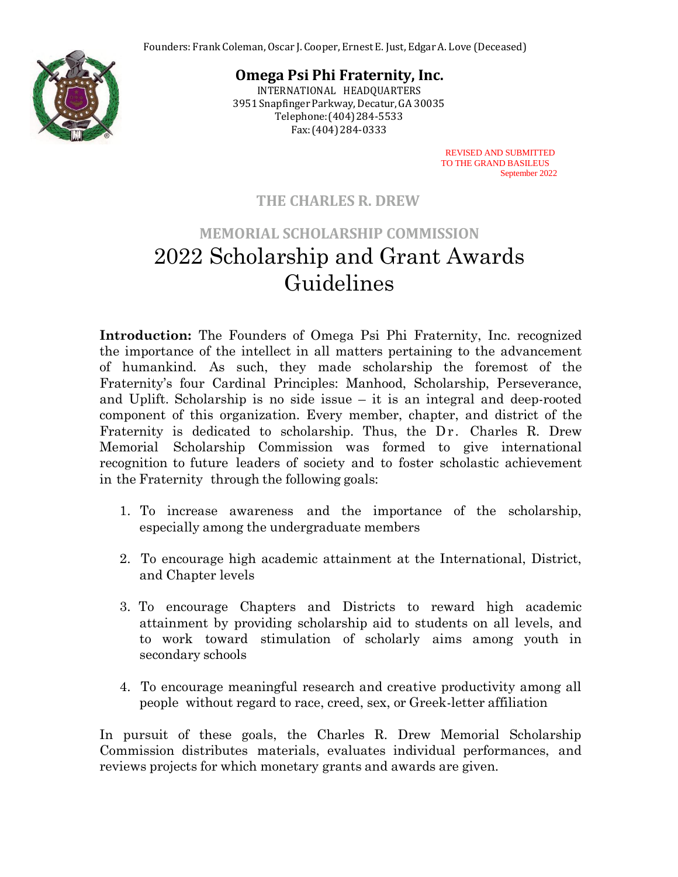

**Omega Psi Phi Fraternity, Inc.** INTERNATIONAL HEADQUARTERS

3951 Snapfinger Parkway,Decatur,GA 30035 Telephone:(404)284-5533 Fax:(404)284-0333

> REVISED AND SUBMITTED TO THE GRAND BASILEUS September 2022

## **THE CHARLES R. DREW**

# **MEMORIAL SCHOLARSHIP COMMISSION** 2022 Scholarship and Grant Awards Guidelines

**Introduction:** The Founders of Omega Psi Phi Fraternity, Inc. recognized the importance of the intellect in all matters pertaining to the advancement of humankind. As such, they made scholarship the foremost of the Fraternity's four Cardinal Principles: Manhood, Scholarship, Perseverance, and Uplift. Scholarship is no side issue – it is an integral and deep-rooted component of this organization. Every member, chapter, and district of the Fraternity is dedicated to scholarship. Thus, the Dr. Charles R. Drew Memorial Scholarship Commission was formed to give international recognition to future leaders of society and to foster scholastic achievement in the Fraternity through the following goals:

- 1. To increase awareness and the importance of the scholarship, especially among the undergraduate members
- 2. To encourage high academic attainment at the International, District, and Chapter levels
- 3. To encourage Chapters and Districts to reward high academic attainment by providing scholarship aid to students on all levels, and to work toward stimulation of scholarly aims among youth in secondary schools
- 4. To encourage meaningful research and creative productivity among all people without regard to race, creed, sex, or Greek-letter affiliation

In pursuit of these goals, the Charles R. Drew Memorial Scholarship Commission distributes materials, evaluates individual performances, and reviews projects for which monetary grants and awards are given.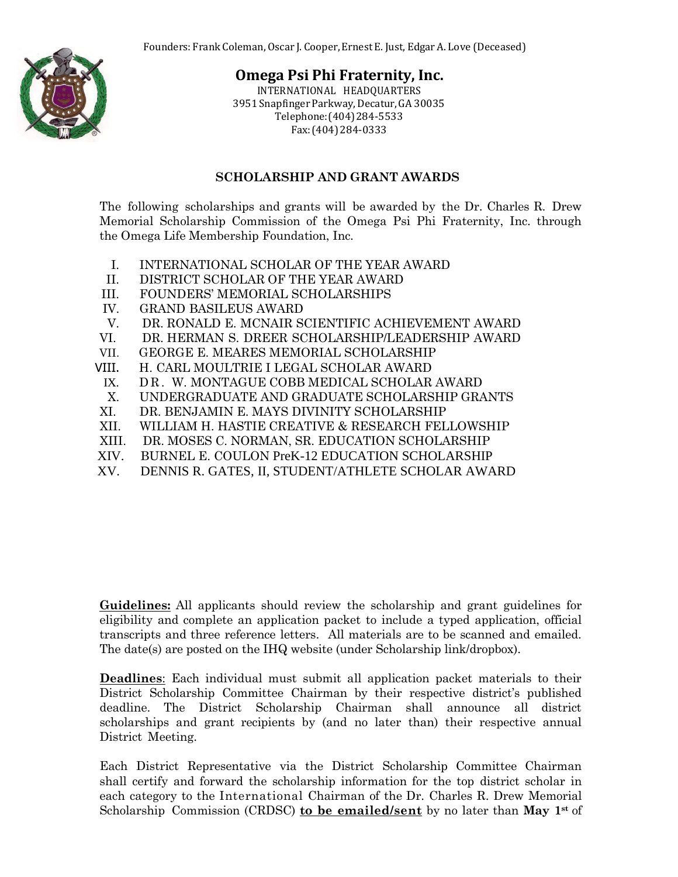

INTERNATIONAL HEADQUARTERS 3951 Snapfinger Parkway,Decatur,GA 30035 Telephone:(404)284-5533 Fax:(404)284-0333

#### **SCHOLARSHIP AND GRANT AWARDS**

The following scholarships and grants will be awarded by the Dr. Charles R. Drew Memorial Scholarship Commission of the Omega Psi Phi Fraternity, Inc. through the Omega Life Membership Foundation, Inc.

- I. INTERNATIONAL SCHOLAR OF THE YEAR AWARD
- II. DISTRICT SCHOLAR OF THE YEAR AWARD
- III. FOUNDERS' MEMORIAL SCHOLARSHIPS
- IV. GRAND BASILEUS AWARD
- V. DR. RONALD E. MCNAIR SCIENTIFIC ACHIEVEMENT AWARD
- VI. DR. HERMAN S. DREER SCHOLARSHIP/LEADERSHIP AWARD
- VII. GEORGE E. MEARES MEMORIAL SCHOLARSHIP
- VIII. H. CARL MOULTRIE I LEGAL SCHOLAR AWARD
	- IX. DR. W. MONTAGUE COBB MEDICAL SCHOLAR AWARD
- X. UNDERGRADUATE AND GRADUATE SCHOLARSHIP GRANTS
- XI. DR. BENJAMIN E. MAYS DIVINITY SCHOLARSHIP
- XII. WILLIAM H. HASTIE CREATIVE & RESEARCH FELLOWSHIP
- XIII. DR. MOSES C. NORMAN, SR. EDUCATION SCHOLARSHIP
- XIV. BURNEL E. COULON PreK-12 EDUCATION SCHOLARSHIP
- XV. DENNIS R. GATES, II, STUDENT/ATHLETE SCHOLAR AWARD

**Guidelines:** All applicants should review the scholarship and grant guidelines for eligibility and complete an application packet to include a typed application, official transcripts and three reference letters. All materials are to be scanned and emailed. The date(s) are posted on the IHQ website (under Scholarship link/dropbox).

**Deadlines**: Each individual must submit all application packet materials to their District Scholarship Committee Chairman by their respective district's published deadline. The District Scholarship Chairman shall announce all district scholarships and grant recipients by (and no later than) their respective annual District Meeting.

Each District Representative via the District Scholarship Committee Chairman shall certify and forward the scholarship information for the top district scholar in each category to the International Chairman of the Dr. Charles R. Drew Memorial Scholarship Commission (CRDSC) **to be emailed/sent** by no later than **May 1st** of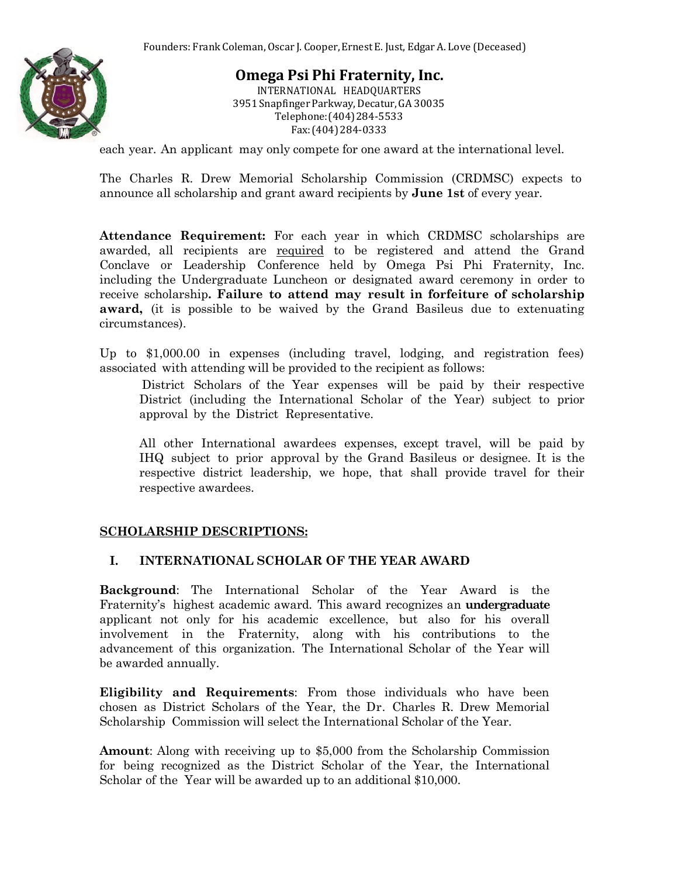

INTERNATIONAL HEADQUARTERS 3951 Snapfinger Parkway,Decatur,GA 30035 Telephone:(404)284-5533 Fax:(404)284-0333

each year. An applicant may only compete for one award at the international level.

The Charles R. Drew Memorial Scholarship Commission (CRDMSC) expects to announce all scholarship and grant award recipients by **June 1st** of every year.

**Attendance Requirement:** For each year in which CRDMSC scholarships are awarded, all recipients are required to be registered and attend the Grand Conclave or Leadership Conference held by Omega Psi Phi Fraternity, Inc. including the Undergraduate Luncheon or designated award ceremony in order to receive scholarship**. Failure to attend may result in forfeiture of scholarship award,** (it is possible to be waived by the Grand Basileus due to extenuating circumstances).

Up to \$1,000.00 in expenses (including travel, lodging, and registration fees) associated with attending will be provided to the recipient as follows:

 District Scholars of the Year expenses will be paid by their respective District (including the International Scholar of the Year) subject to prior approval by the District Representative.

All other International awardees expenses, except travel, will be paid by IHQ subject to prior approval by the Grand Basileus or designee. It is the respective district leadership, we hope, that shall provide travel for their respective awardees.

#### **SCHOLARSHIP DESCRIPTIONS:**

#### **I. INTERNATIONAL SCHOLAR OF THE YEAR AWARD**

**Background**: The International Scholar of the Year Award is the Fraternity's highest academic award. This award recognizes an **undergraduate** applicant not only for his academic excellence, but also for his overall involvement in the Fraternity, along with his contributions to the advancement of this organization. The International Scholar of the Year will be awarded annually.

**Eligibility and Requirements**: From those individuals who have been chosen as District Scholars of the Year, the Dr. Charles R. Drew Memorial Scholarship Commission will select the International Scholar of the Year.

**Amount**: Along with receiving up to \$5,000 from the Scholarship Commission for being recognized as the District Scholar of the Year, the International Scholar of the Year will be awarded up to an additional \$10,000.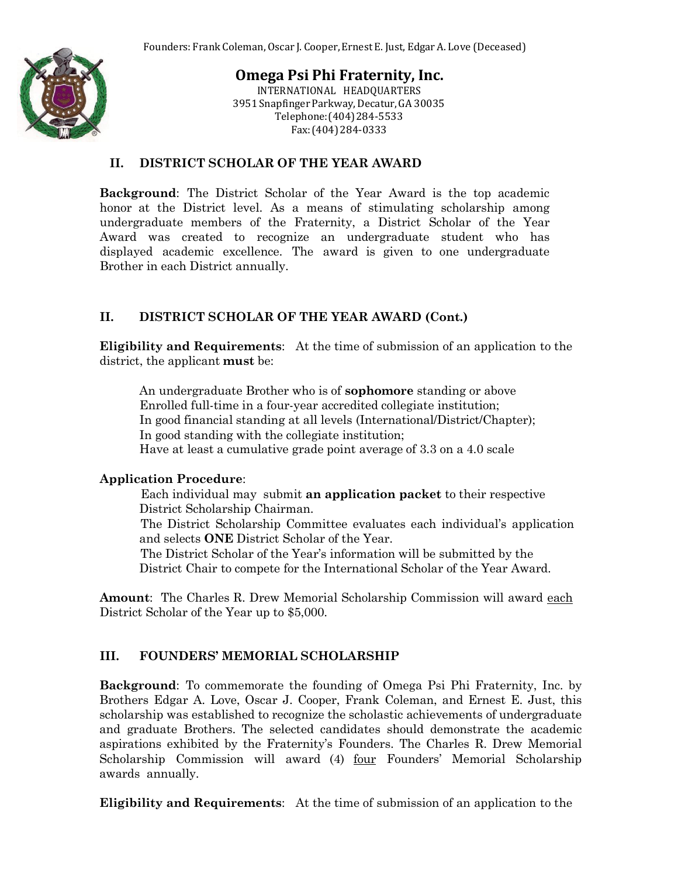

INTERNATIONAL HEADQUARTERS 3951 Snapfinger Parkway,Decatur,GA 30035 Telephone:(404)284-5533 Fax:(404)284-0333

#### **II. DISTRICT SCHOLAR OF THE YEAR AWARD**

**Background**: The District Scholar of the Year Award is the top academic honor at the District level. As a means of stimulating scholarship among undergraduate members of the Fraternity, a District Scholar of the Year Award was created to recognize an undergraduate student who has displayed academic excellence. The award is given to one undergraduate Brother in each District annually.

#### **II. DISTRICT SCHOLAR OF THE YEAR AWARD (Cont.)**

**Eligibility and Requirements**: At the time of submission of an application to the district, the applicant **must** be:

An undergraduate Brother who is of **sophomore** standing or above Enrolled full-time in a four-year accredited collegiate institution; In good financial standing at all levels (International/District/Chapter); In good standing with the collegiate institution; Have at least a cumulative grade point average of 3.3 on a 4.0 scale

#### **Application Procedure**:

 Each individual may submit **an application packet** to their respective District Scholarship Chairman.

 The District Scholarship Committee evaluates each individual's application and selects **ONE** District Scholar of the Year.

 The District Scholar of the Year's information will be submitted by the District Chair to compete for the International Scholar of the Year Award.

**Amount**: The Charles R. Drew Memorial Scholarship Commission will award each District Scholar of the Year up to \$5,000.

#### **III. FOUNDERS' MEMORIAL SCHOLARSHIP**

**Background**: To commemorate the founding of Omega Psi Phi Fraternity, Inc. by Brothers Edgar A. Love, Oscar J. Cooper, Frank Coleman, and Ernest E. Just, this scholarship was established to recognize the scholastic achievements of undergraduate and graduate Brothers. The selected candidates should demonstrate the academic aspirations exhibited by the Fraternity's Founders. The Charles R. Drew Memorial Scholarship Commission will award (4) four Founders' Memorial Scholarship awards annually.

**Eligibility and Requirements**: At the time of submission of an application to the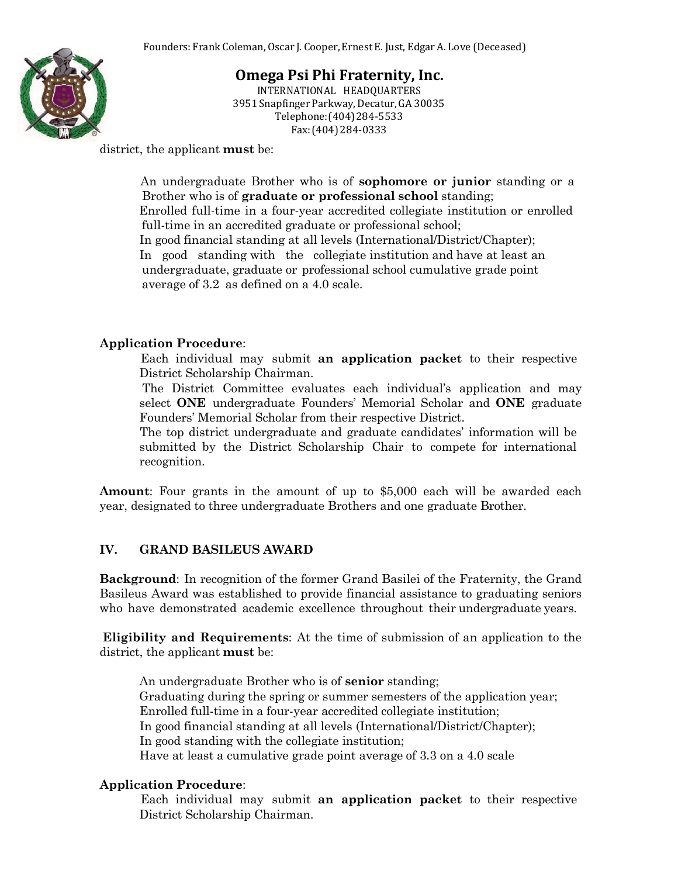

INTERNATIONAL HEADQUARTERS 3951 Snapfinger Parkway,Decatur,GA 30035 Telephone:(404)284-5533 Fax:(404)284-0333

district, the applicant **must** be:

 An undergraduate Brother who is of **sophomore or junior** standing or a Brother who is of **graduate or professional school** standing; Enrolled full-time in a four-year accredited collegiate institution or enrolled full-time in an accredited graduate or professional school; In good financial standing at all levels (International/District/Chapter); In good standing with the collegiate institution and have at least an undergraduate, graduate or professional school cumulative grade point average of 3.2 as defined on a 4.0 scale.

#### **Application Procedure**:

 Each individual may submit **an application packet** to their respective District Scholarship Chairman.

 The District Committee evaluates each individual's application and may select **ONE** undergraduate Founders' Memorial Scholar and **ONE** graduate Founders' Memorial Scholar from their respective District.

 The top district undergraduate and graduate candidates' information will be submitted by the District Scholarship Chair to compete for international recognition.

**Amount**: Four grants in the amount of up to \$5,000 each will be awarded each year, designated to three undergraduate Brothers and one graduate Brother.

## **IV. GRAND BASILEUS AWARD**

**Background**: In recognition of the former Grand Basilei of the Fraternity, the Grand Basileus Award was established to provide financial assistance to graduating seniors who have demonstrated academic excellence throughout their undergraduate years.

**Eligibility and Requirements**: At the time of submission of an application to the district, the applicant **must** be:

An undergraduate Brother who is of **senior** standing; Graduating during the spring or summer semesters of the application year; Enrolled full-time in a four-year accredited collegiate institution; In good financial standing at all levels (International/District/Chapter); In good standing with the collegiate institution; Have at least a cumulative grade point average of 3.3 on a 4.0 scale

#### **Application Procedure**:

 Each individual may submit **an application packet** to their respective District Scholarship Chairman.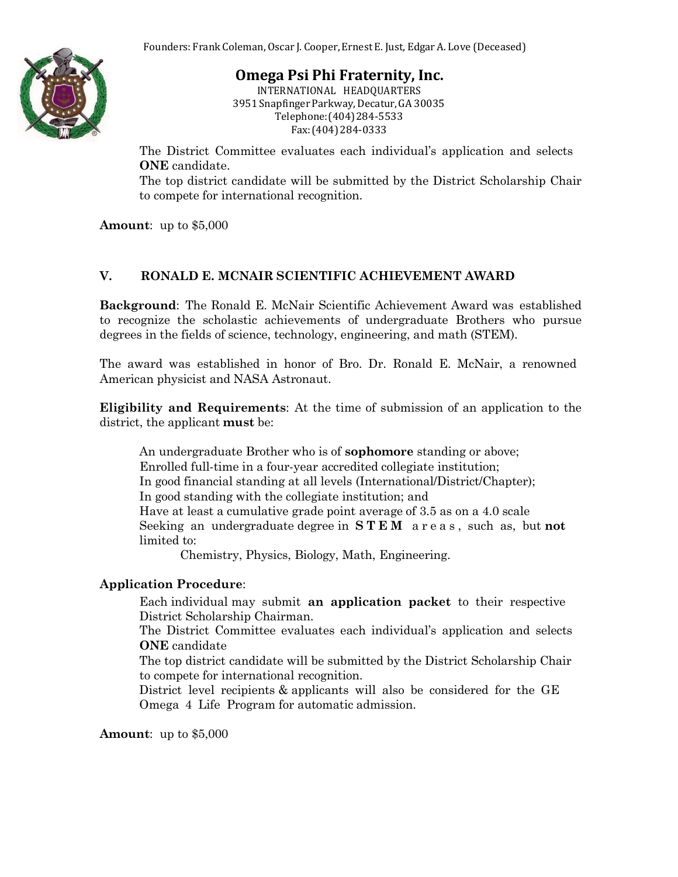

INTERNATIONAL HEADQUARTERS 3951 Snapfinger Parkway,Decatur,GA 30035 Telephone:(404)284-5533 Fax:(404)284-0333

 The District Committee evaluates each individual's application and selects **ONE** candidate.

 The top district candidate will be submitted by the District Scholarship Chair to compete for international recognition.

**Amount**: up to \$5,000

#### **V. RONALD E. MCNAIR SCIENTIFIC ACHIEVEMENT AWARD**

**Background**: The Ronald E. McNair Scientific Achievement Award was established to recognize the scholastic achievements of undergraduate Brothers who pursue degrees in the fields of science, technology, engineering, and math (STEM).

The award was established in honor of Bro. Dr. Ronald E. McNair, a renowned American physicist and NASA Astronaut.

**Eligibility and Requirements**: At the time of submission of an application to the district, the applicant **must** be:

An undergraduate Brother who is of **sophomore** standing or above; Enrolled full-time in a four-year accredited collegiate institution; In good financial standing at all levels (International/District/Chapter); In good standing with the collegiate institution; and Have at least a cumulative grade point average of 3.5 as on a 4.0 scale Seeking an undergraduate degree in **S T E M** a r e a s , such as, but **not** limited to:

Chemistry, Physics, Biology, Math, Engineering.

#### **Application Procedure**:

 Each individual may submit **an application packet** to their respective District Scholarship Chairman.

 The District Committee evaluates each individual's application and selects **ONE** candidate

 The top district candidate will be submitted by the District Scholarship Chair to compete for international recognition.

 District level recipients & applicants will also be considered for the GE Omega 4 Life Program for automatic admission.

**Amount**: up to \$5,000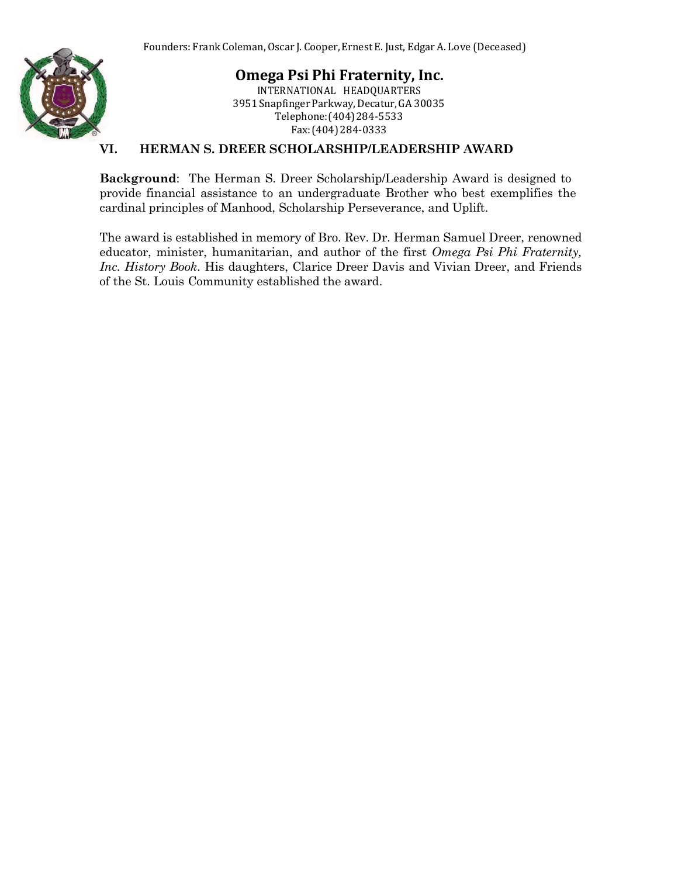

**Omega Psi Phi Fraternity, Inc.** INTERNATIONAL HEADQUARTERS 3951 Snapfinger Parkway,Decatur,GA 30035 Telephone:(404)284-5533 Fax:(404)284-0333

#### **VI. HERMAN S. DREER SCHOLARSHIP/LEADERSHIP AWARD**

**Background**: The Herman S. Dreer Scholarship/Leadership Award is designed to provide financial assistance to an undergraduate Brother who best exemplifies the cardinal principles of Manhood, Scholarship Perseverance, and Uplift.

The award is established in memory of Bro. Rev. Dr. Herman Samuel Dreer, renowned educator, minister, humanitarian, and author of the first *Omega Psi Phi Fraternity, Inc. History Book*. His daughters, Clarice Dreer Davis and Vivian Dreer, and Friends of the St. Louis Community established the award.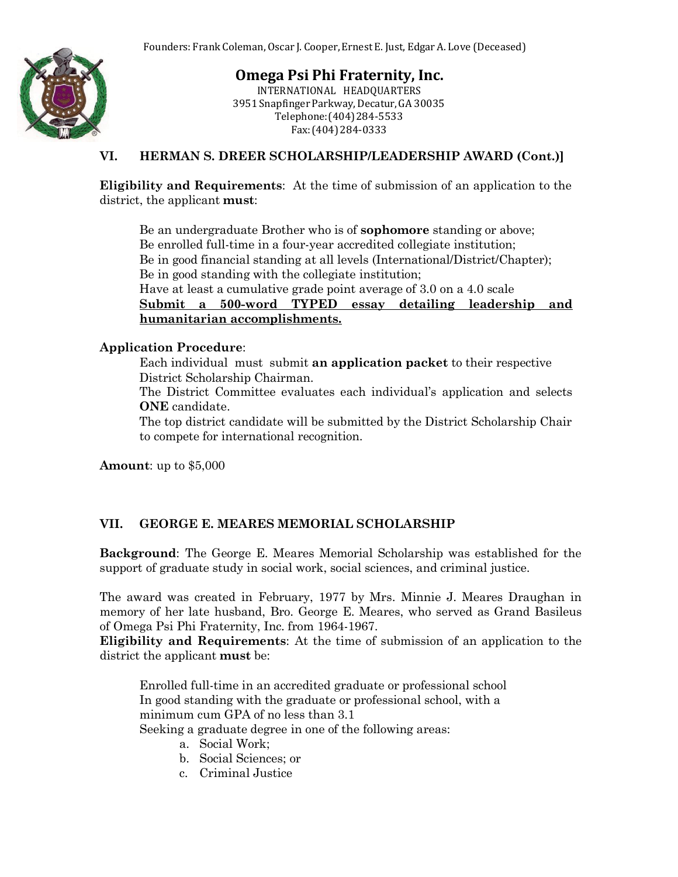

INTERNATIONAL HEADQUARTERS 3951 Snapfinger Parkway,Decatur,GA 30035 Telephone:(404)284-5533 Fax:(404)284-0333

#### **VI. HERMAN S. DREER SCHOLARSHIP/LEADERSHIP AWARD (Cont.)]**

**Eligibility and Requirements**: At the time of submission of an application to the district, the applicant **must**:

Be an undergraduate Brother who is of **sophomore** standing or above; Be enrolled full-time in a four-year accredited collegiate institution; Be in good financial standing at all levels (International/District/Chapter); Be in good standing with the collegiate institution; Have at least a cumulative grade point average of 3.0 on a 4.0 scale

**Submit a 500-word TYPED essay detailing leadership and humanitarian accomplishments.**

#### **Application Procedure**:

 Each individual must submit **an application packet** to their respective District Scholarship Chairman.

 The District Committee evaluates each individual's application and selects **ONE** candidate.

 The top district candidate will be submitted by the District Scholarship Chair to compete for international recognition.

**Amount**: up to \$5,000

#### **VII. GEORGE E. MEARES MEMORIAL SCHOLARSHIP**

**Background**: The George E. Meares Memorial Scholarship was established for the support of graduate study in social work, social sciences, and criminal justice.

The award was created in February, 1977 by Mrs. Minnie J. Meares Draughan in memory of her late husband, Bro. George E. Meares, who served as Grand Basileus of Omega Psi Phi Fraternity, Inc. from 1964-1967.

**Eligibility and Requirements**: At the time of submission of an application to the district the applicant **must** be:

Enrolled full-time in an accredited graduate or professional school In good standing with the graduate or professional school, with a minimum cum GPA of no less than 3.1

Seeking a graduate degree in one of the following areas:

- a. Social Work;
- b. Social Sciences; or
- c. Criminal Justice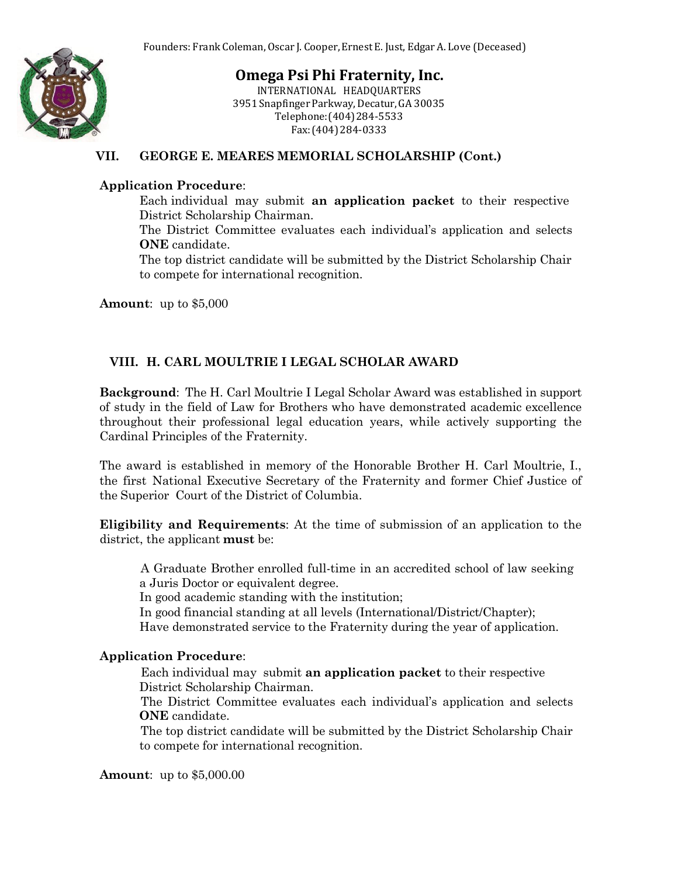

INTERNATIONAL HEADQUARTERS 3951 Snapfinger Parkway,Decatur,GA 30035 Telephone:(404)284-5533 Fax:(404)284-0333

#### **VII. GEORGE E. MEARES MEMORIAL SCHOLARSHIP (Cont.)**

#### **Application Procedure**:

 Each individual may submit **an application packet** to their respective District Scholarship Chairman.

 The District Committee evaluates each individual's application and selects **ONE** candidate.

 The top district candidate will be submitted by the District Scholarship Chair to compete for international recognition.

**Amount**: up to \$5,000

## **VIII. H. CARL MOULTRIE I LEGAL SCHOLAR AWARD**

**Background**: The H. Carl Moultrie I Legal Scholar Award was established in support of study in the field of Law for Brothers who have demonstrated academic excellence throughout their professional legal education years, while actively supporting the Cardinal Principles of the Fraternity.

The award is established in memory of the Honorable Brother H. Carl Moultrie, I., the first National Executive Secretary of the Fraternity and former Chief Justice of the Superior Court of the District of Columbia.

**Eligibility and Requirements**: At the time of submission of an application to the district, the applicant **must** be:

 A Graduate Brother enrolled full-time in an accredited school of law seeking a Juris Doctor or equivalent degree.

In good academic standing with the institution;

In good financial standing at all levels (International/District/Chapter);

Have demonstrated service to the Fraternity during the year of application.

#### **Application Procedure**:

 Each individual may submit **an application packet** to their respective District Scholarship Chairman.

 The District Committee evaluates each individual's application and selects **ONE** candidate.

 The top district candidate will be submitted by the District Scholarship Chair to compete for international recognition.

**Amount**: up to \$5,000.00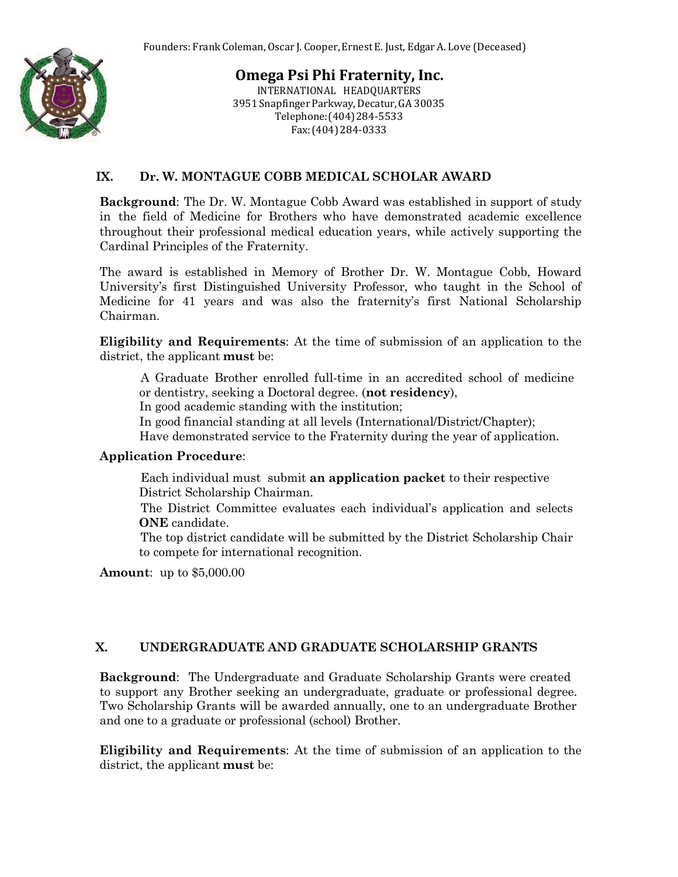

**Omega Psi Phi Fraternity, Inc.** INTERNATIONAL HEADQUARTERS 3951 Snapfinger Parkway,Decatur,GA 30035 Telephone:(404)284-5533 Fax:(404)284-0333

#### **IX. Dr. W. MONTAGUE COBB MEDICAL SCHOLAR AWARD**

**Background**: The Dr. W. Montague Cobb Award was established in support of study in the field of Medicine for Brothers who have demonstrated academic excellence throughout their professional medical education years, while actively supporting the Cardinal Principles of the Fraternity.

The award is established in Memory of Brother Dr. W. Montague Cobb, Howard University's first Distinguished University Professor, who taught in the School of Medicine for 41 years and was also the fraternity's first National Scholarship Chairman.

**Eligibility and Requirements**: At the time of submission of an application to the district, the applicant **must** be:

 A Graduate Brother enrolled full-time in an accredited school of medicine or dentistry, seeking a Doctoral degree. (**not residency**),

In good academic standing with the institution;

In good financial standing at all levels (International/District/Chapter); Have demonstrated service to the Fraternity during the year of application.

#### **Application Procedure**:

 Each individual must submit **an application packet** to their respective District Scholarship Chairman.

 The District Committee evaluates each individual's application and selects **ONE** candidate.

 The top district candidate will be submitted by the District Scholarship Chair to compete for international recognition.

**Amount**: up to \$5,000.00

#### **X. UNDERGRADUATE AND GRADUATE SCHOLARSHIP GRANTS**

**Background**: The Undergraduate and Graduate Scholarship Grants were created to support any Brother seeking an undergraduate, graduate or professional degree. Two Scholarship Grants will be awarded annually, one to an undergraduate Brother and one to a graduate or professional (school) Brother.

**Eligibility and Requirements**: At the time of submission of an application to the district, the applicant **must** be: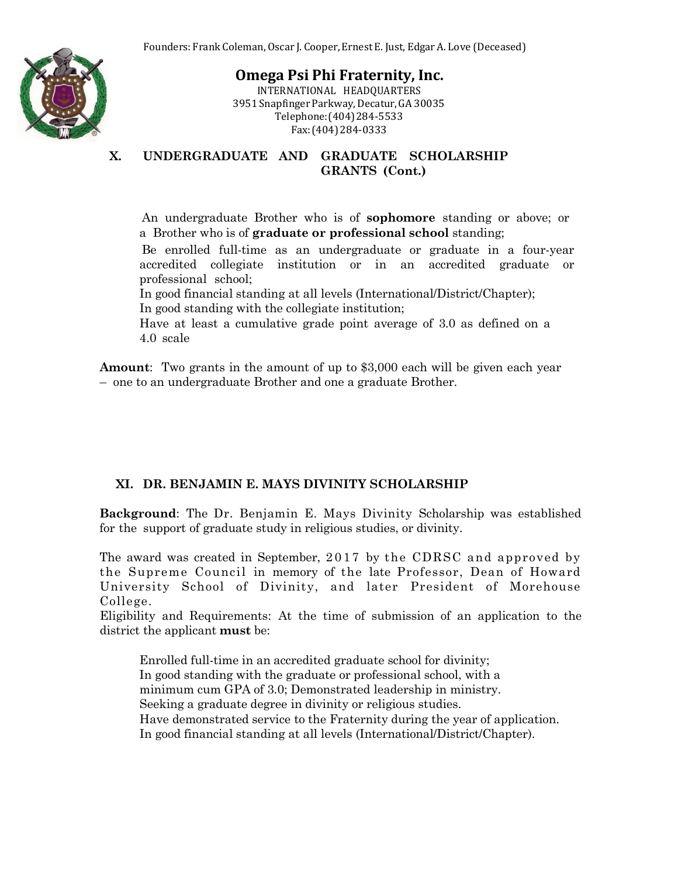

INTERNATIONAL HEADQUARTERS 3951 Snapfinger Parkway,Decatur,GA 30035 Telephone:(404)284-5533 Fax:(404)284-0333

**X. UNDERGRADUATE AND GRADUATE SCHOLARSHIP GRANTS (Cont.)**

 An undergraduate Brother who is of **sophomore** standing or above; or a Brother who is of **graduate or professional school** standing;

 Be enrolled full-time as an undergraduate or graduate in a four-year accredited collegiate institution or in an accredited graduate or professional school;

In good financial standing at all levels (International/District/Chapter);

In good standing with the collegiate institution;

Have at least a cumulative grade point average of 3.0 as defined on a 4.0 scale

**Amount**: Two grants in the amount of up to \$3,000 each will be given each year – one to an undergraduate Brother and one a graduate Brother.

#### **XI. DR. BENJAMIN E. MAYS DIVINITY SCHOLARSHIP**

**Background**: The Dr. Benjamin E. Mays Divinity Scholarship was established for the support of graduate study in religious studies, or divinity.

The award was created in September, 2017 by the CDRSC and approved by the Supreme Council in memory of the late Professor, Dean of Howard University School of Divinity, and later President of Morehouse College.

Eligibility and Requirements: At the time of submission of an application to the district the applicant **must** be:

Enrolled full-time in an accredited graduate school for divinity; In good standing with the graduate or professional school, with a minimum cum GPA of 3.0; Demonstrated leadership in ministry. Seeking a graduate degree in divinity or religious studies. Have demonstrated service to the Fraternity during the year of application. In good financial standing at all levels (International/District/Chapter).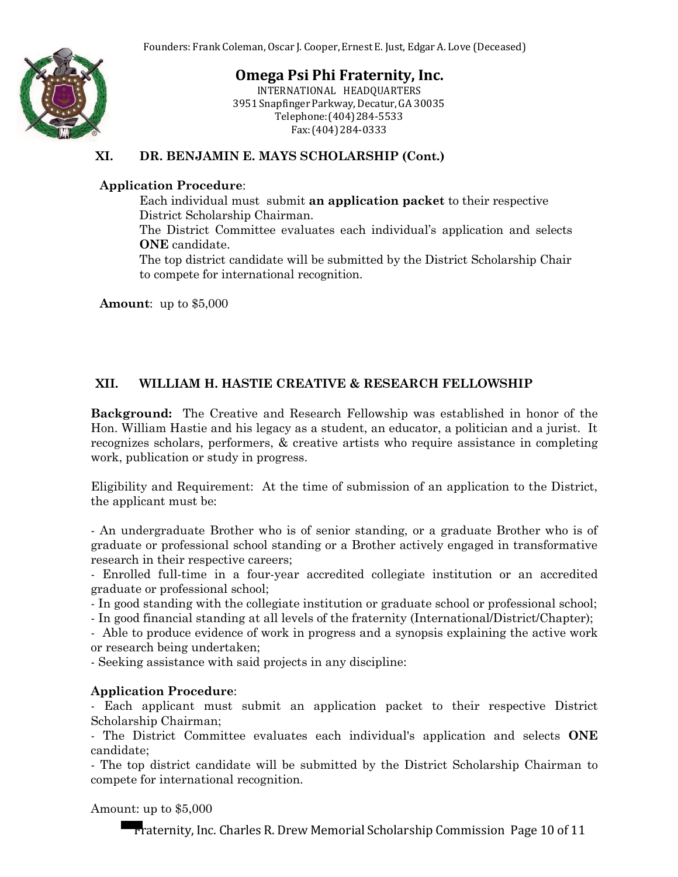

INTERNATIONAL HEADQUARTERS 3951 Snapfinger Parkway,Decatur,GA 30035 Telephone:(404)284-5533 Fax:(404)284-0333

### **XI. DR. BENJAMIN E. MAYS SCHOLARSHIP (Cont.)**

#### **Application Procedure**:

 Each individual must submit **an application packet** to their respective District Scholarship Chairman.

 The District Committee evaluates each individual's application and selects **ONE** candidate.

 The top district candidate will be submitted by the District Scholarship Chair to compete for international recognition.

**Amount**: up to \$5,000

## **XII. WILLIAM H. HASTIE CREATIVE & RESEARCH FELLOWSHIP**

**Background:** The Creative and Research Fellowship was established in honor of the Hon. William Hastie and his legacy as a student, an educator, a politician and a jurist. It recognizes scholars, performers, & creative artists who require assistance in completing work, publication or study in progress.

Eligibility and Requirement: At the time of submission of an application to the District, the applicant must be:

- An undergraduate Brother who is of senior standing, or a graduate Brother who is of graduate or professional school standing or a Brother actively engaged in transformative research in their respective careers;

- Enrolled full-time in a four-year accredited collegiate institution or an accredited graduate or professional school;

- In good standing with the collegiate institution or graduate school or professional school;

- In good financial standing at all levels of the fraternity (International/District/Chapter);

- Able to produce evidence of work in progress and a synopsis explaining the active work or research being undertaken;

- Seeking assistance with said projects in any discipline:

#### **Application Procedure**:

- Each applicant must submit an application packet to their respective District Scholarship Chairman;

- The District Committee evaluates each individual's application and selects **ONE** candidate;

- The top district candidate will be submitted by the District Scholarship Chairman to compete for international recognition.

Amount: up to \$5,000

Fraternity, Inc. Charles R. Drew MemorialScholarship Commission Page 10 of 11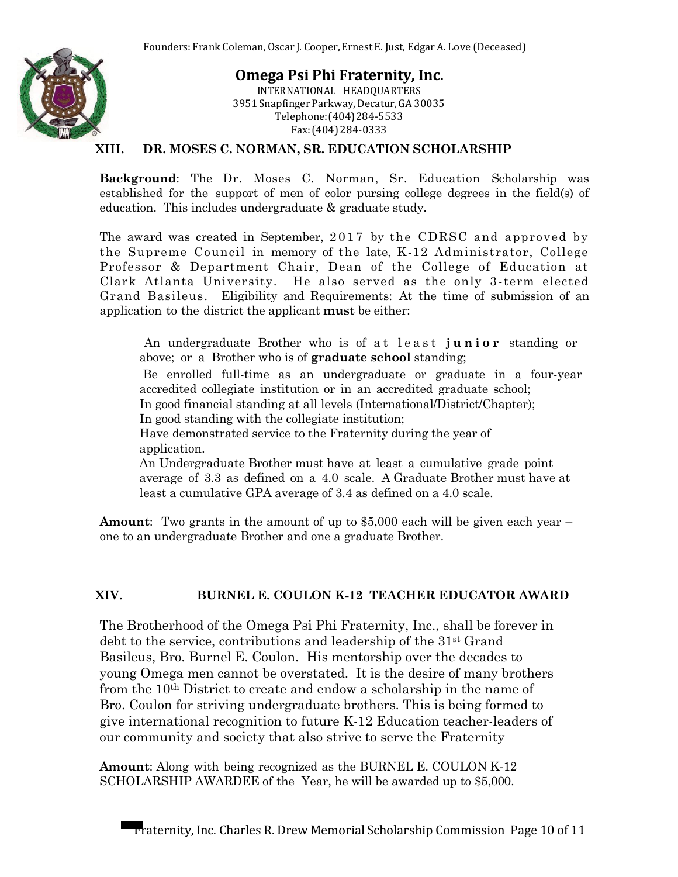

**Omega Psi Phi Fraternity, Inc.** INTERNATIONAL HEADQUARTERS 3951 Snapfinger Parkway,Decatur,GA 30035 Telephone:(404)284-5533 Fax:(404)284-0333

#### **XIII. DR. MOSES C. NORMAN, SR. EDUCATION SCHOLARSHIP**

**Background**: The Dr. Moses C. Norman, Sr. Education Scholarship was established for the support of men of color pursing college degrees in the field(s) of education. This includes undergraduate & graduate study.

The award was created in September, 2017 by the CDRSC and approved by the Supreme Council in memory of the late, K-12 Administrator, College Professor & Department Chair, Dean of the College of Education at Clark Atlanta University. He also served as the only 3 -term elected Grand Basileus. Eligibility and Requirements: At the time of submission of an application to the district the applicant **must** be either:

An undergraduate Brother who is of a t least junior standing or above; or a Brother who is of **graduate school** standing;

 Be enrolled full-time as an undergraduate or graduate in a four-year accredited collegiate institution or in an accredited graduate school; In good financial standing at all levels (International/District/Chapter);

In good standing with the collegiate institution;

Have demonstrated service to the Fraternity during the year of application.

An Undergraduate Brother must have at least a cumulative grade point average of 3.3 as defined on a 4.0 scale. A Graduate Brother must have at least a cumulative GPA average of 3.4 as defined on a 4.0 scale.

**Amount**: Two grants in the amount of up to \$5,000 each will be given each year – one to an undergraduate Brother and one a graduate Brother.

#### **XIV. BURNEL E. COULON K-12 TEACHER EDUCATOR AWARD**

The Brotherhood of the Omega Psi Phi Fraternity, Inc., shall be forever in debt to the service, contributions and leadership of the 31st Grand Basileus, Bro. Burnel E. Coulon. His mentorship over the decades to young Omega men cannot be overstated. It is the desire of many brothers from the 10th District to create and endow a scholarship in the name of Bro. Coulon for striving undergraduate brothers. This is being formed to give international recognition to future K-12 Education teacher-leaders of our community and society that also strive to serve the Fraternity

**Amount**: Along with being recognized as the BURNEL E. COULON K-12 SCHOLARSHIP AWARDEE of the Year, he will be awarded up to \$5,000.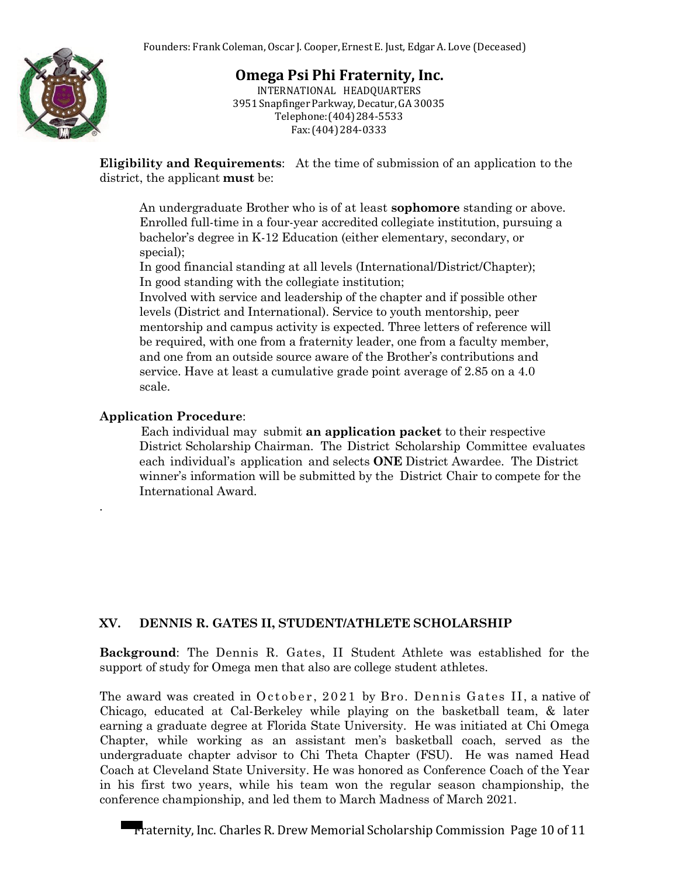

INTERNATIONAL HEADQUARTERS 3951 Snapfinger Parkway,Decatur,GA 30035 Telephone:(404)284-5533 Fax:(404)284-0333

**Eligibility and Requirements**: At the time of submission of an application to the district, the applicant **must** be:

An undergraduate Brother who is of at least **sophomore** standing or above. Enrolled full-time in a four-year accredited collegiate institution, pursuing a bachelor's degree in K-12 Education (either elementary, secondary, or special);

In good financial standing at all levels (International/District/Chapter); In good standing with the collegiate institution;

Involved with service and leadership of the chapter and if possible other levels (District and International). Service to youth mentorship, peer mentorship and campus activity is expected. Three letters of reference will be required, with one from a fraternity leader, one from a faculty member, and one from an outside source aware of the Brother's contributions and service. Have at least a cumulative grade point average of 2.85 on a 4.0 scale.

#### **Application Procedure**:

*.*

 Each individual may submit **an application packet** to their respective District Scholarship Chairman. The District Scholarship Committee evaluates each individual's application and selects **ONE** District Awardee. The District winner's information will be submitted by the District Chair to compete for the International Award.

#### **XV. DENNIS R. GATES II, STUDENT/ATHLETE SCHOLARSHIP**

**Background**: The Dennis R. Gates, II Student Athlete was established for the support of study for Omega men that also are college student athletes.

The award was created in  $October, 2021$  by Bro. Dennis Gates II, a native of Chicago, educated at Cal-Berkeley while playing on the basketball team, & later earning a graduate degree at Florida State University. He was initiated at Chi Omega Chapter, while working as an assistant men's basketball coach, served as the undergraduate chapter advisor to Chi Theta Chapter (FSU). He was named Head Coach at Cleveland State University. He was honored as Conference Coach of the Year in his first two years, while his team won the regular season championship, the conference championship, and led them to March Madness of March 2021.

Fraternity, Inc. Charles R. Drew MemorialScholarship Commission Page 10 of 11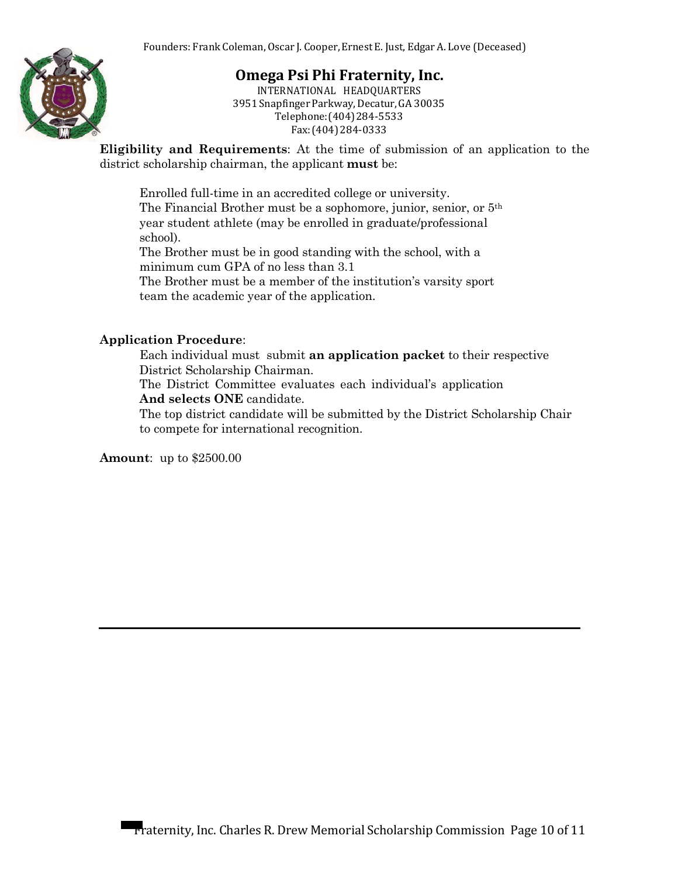

INTERNATIONAL HEADQUARTERS 3951 Snapfinger Parkway,Decatur,GA 30035 Telephone:(404)284-5533 Fax:(404)284-0333

**Eligibility and Requirements**: At the time of submission of an application to the district scholarship chairman, the applicant **must** be:

Enrolled full-time in an accredited college or university. The Financial Brother must be a sophomore, junior, senior, or 5th year student athlete (may be enrolled in graduate/professional school).

The Brother must be in good standing with the school, with a minimum cum GPA of no less than 3.1

The Brother must be a member of the institution's varsity sport team the academic year of the application.

#### **Application Procedure**:

 Each individual must submit **an application packet** to their respective District Scholarship Chairman.

 The District Committee evaluates each individual's application **And selects ONE** candidate.

 The top district candidate will be submitted by the District Scholarship Chair to compete for international recognition.

**Amount**: up to \$2500.00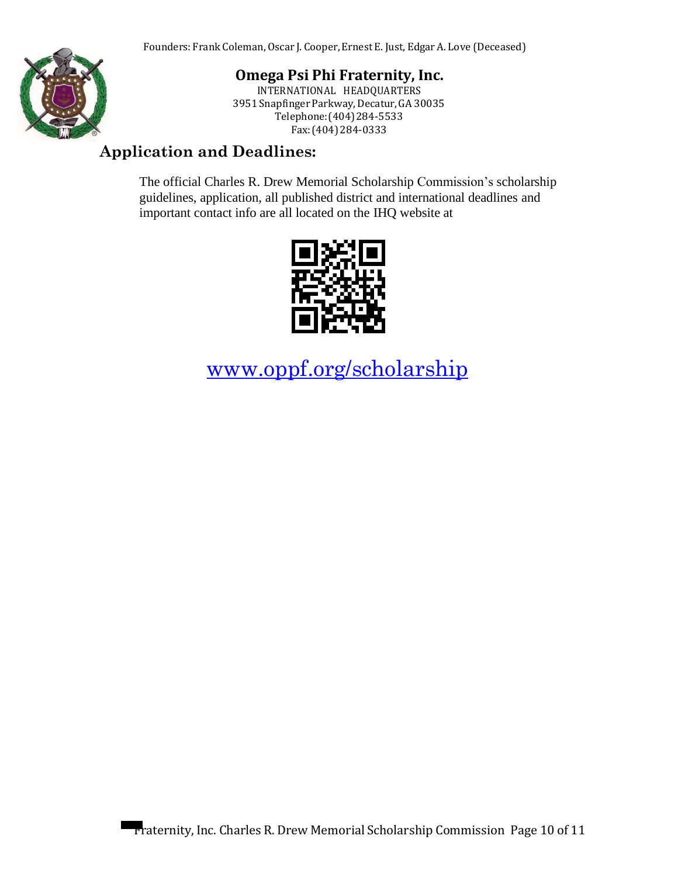

**Omega Psi Phi Fraternity, Inc.** INTERNATIONAL HEADQUARTERS

3951 Snapfinger Parkway,Decatur,GA 30035 Telephone:(404)284-5533 Fax:(404)284-0333

## **Application and Deadlines:**

The official Charles R. Drew Memorial Scholarship Commission's scholarship guidelines, application, all published district and international deadlines and important contact info are all located on the IHQ website at



[www.oppf.org/scholarship](http://www.oppf.org/scholarship)